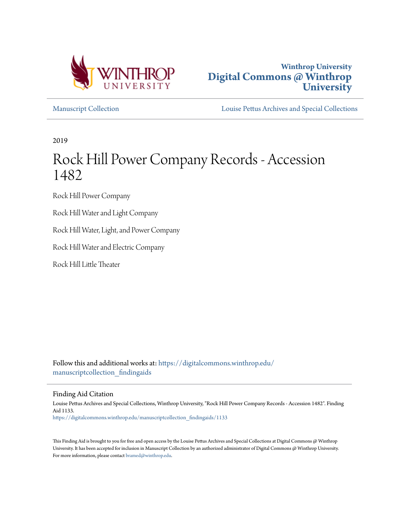



[Manuscript Collection](https://digitalcommons.winthrop.edu/manuscriptcollection_findingaids?utm_source=digitalcommons.winthrop.edu%2Fmanuscriptcollection_findingaids%2F1133&utm_medium=PDF&utm_campaign=PDFCoverPages) [Louise Pettus Archives and Special Collections](https://digitalcommons.winthrop.edu/pettus_archives?utm_source=digitalcommons.winthrop.edu%2Fmanuscriptcollection_findingaids%2F1133&utm_medium=PDF&utm_campaign=PDFCoverPages)

2019

# Rock Hill Power Company Records - Accession 1482

Rock Hill Power Company

Rock Hill Water and Light Company

Rock Hill Water, Light, and Power Company

Rock Hill Water and Electric Company

Rock Hill Little Theater

Follow this and additional works at: [https://digitalcommons.winthrop.edu/](https://digitalcommons.winthrop.edu/manuscriptcollection_findingaids?utm_source=digitalcommons.winthrop.edu%2Fmanuscriptcollection_findingaids%2F1133&utm_medium=PDF&utm_campaign=PDFCoverPages) manuscriptcollection findingaids

Finding Aid Citation

Louise Pettus Archives and Special Collections, Winthrop University, "Rock Hill Power Company Records - Accession 1482". Finding Aid 1133. [https://digitalcommons.winthrop.edu/manuscriptcollection\\_findingaids/1133](https://digitalcommons.winthrop.edu/manuscriptcollection_findingaids/1133?utm_source=digitalcommons.winthrop.edu%2Fmanuscriptcollection_findingaids%2F1133&utm_medium=PDF&utm_campaign=PDFCoverPages)

This Finding Aid is brought to you for free and open access by the Louise Pettus Archives and Special Collections at Digital Commons @ Winthrop University. It has been accepted for inclusion in Manuscript Collection by an authorized administrator of Digital Commons @ Winthrop University. For more information, please contact [bramed@winthrop.edu.](mailto:bramed@winthrop.edu)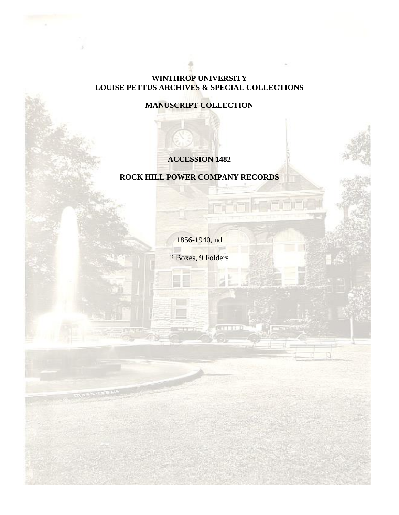### **WINTHROP UNIVERSITY LOUISE PETTUS ARCHIVES & SPECIAL COLLECTIONS**

# **MANUSCRIPT COLLECTION**

# **ACCESSION 1482**

# **ROCK HILL POWER COMPANY RECORDS**

1856-1940, nd

2 Boxes, 9 Folders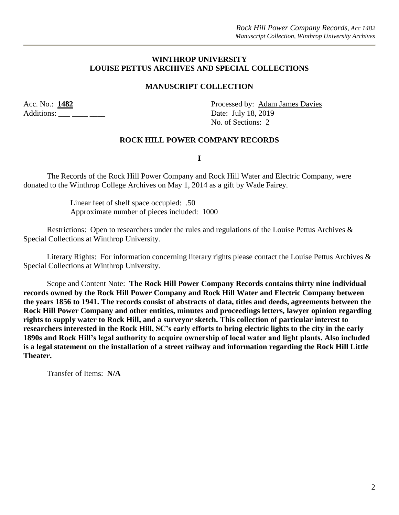#### **WINTHROP UNIVERSITY LOUISE PETTUS ARCHIVES AND SPECIAL COLLECTIONS**

#### **MANUSCRIPT COLLECTION**

Additions: \_\_\_ \_\_\_ \_\_\_ \_\_\_ Date: July 18, 2019

Acc. No.: **1482** Processed by: Adam James Davies No. of Sections: 2

#### **ROCK HILL POWER COMPANY RECORDS**

**I**

The Records of the Rock Hill Power Company and Rock Hill Water and Electric Company, were donated to the Winthrop College Archives on May 1, 2014 as a gift by Wade Fairey.

> Linear feet of shelf space occupied: .50 Approximate number of pieces included: 1000

Restrictions: Open to researchers under the rules and regulations of the Louise Pettus Archives & Special Collections at Winthrop University.

Literary Rights: For information concerning literary rights please contact the Louise Pettus Archives & Special Collections at Winthrop University.

Scope and Content Note: **The Rock Hill Power Company Records contains thirty nine individual records owned by the Rock Hill Power Company and Rock Hill Water and Electric Company between the years 1856 to 1941. The records consist of abstracts of data, titles and deeds, agreements between the Rock Hill Power Company and other entities, minutes and proceedings letters, lawyer opinion regarding rights to supply water to Rock Hill, and a surveyor sketch. This collection of particular interest to researchers interested in the Rock Hill, SC's early efforts to bring electric lights to the city in the early 1890s and Rock Hill's legal authority to acquire ownership of local water and light plants. Also included is a legal statement on the installation of a street railway and information regarding the Rock Hill Little Theater.**

Transfer of Items: **N/A**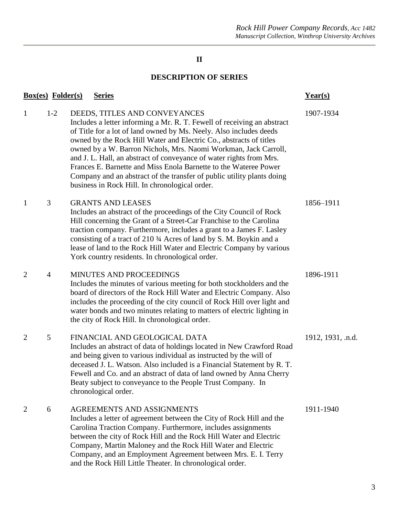# **II**

# **DESCRIPTION OF SERIES**

| <b>Box(es)</b> Folder(s) | $Year(s)$      |                                                                                                                                                                                                                                                                                                                                                                                                                                                                                                                                                                                                |                   |
|--------------------------|----------------|------------------------------------------------------------------------------------------------------------------------------------------------------------------------------------------------------------------------------------------------------------------------------------------------------------------------------------------------------------------------------------------------------------------------------------------------------------------------------------------------------------------------------------------------------------------------------------------------|-------------------|
| 1                        | $1-2$          | DEEDS, TITLES AND CONVEYANCES<br>Includes a letter informing a Mr. R. T. Fewell of receiving an abstract<br>of Title for a lot of land owned by Ms. Neely. Also includes deeds<br>owned by the Rock Hill Water and Electric Co., abstracts of titles<br>owned by a W. Barron Nichols, Mrs. Naomi Workman, Jack Carroll,<br>and J. L. Hall, an abstract of conveyance of water rights from Mrs.<br>Frances E. Barnette and Miss Enola Barnette to the Wateree Power<br>Company and an abstract of the transfer of public utility plants doing<br>business in Rock Hill. In chronological order. | 1907-1934         |
| 1                        | 3              | <b>GRANTS AND LEASES</b><br>Includes an abstract of the proceedings of the City Council of Rock<br>Hill concerning the Grant of a Street-Car Franchise to the Carolina<br>traction company. Furthermore, includes a grant to a James F. Lasley<br>consisting of a tract of 210 3⁄4 Acres of land by S. M. Boykin and a<br>lease of land to the Rock Hill Water and Electric Company by various<br>York country residents. In chronological order.                                                                                                                                              | 1856-1911         |
| 2                        | $\overline{4}$ | MINUTES AND PROCEEDINGS<br>Includes the minutes of various meeting for both stockholders and the<br>board of directors of the Rock Hill Water and Electric Company. Also<br>includes the proceeding of the city council of Rock Hill over light and<br>water bonds and two minutes relating to matters of electric lighting in<br>the city of Rock Hill. In chronological order.                                                                                                                                                                                                               | 1896-1911         |
| 2                        | 5              | FINANCIAL AND GEOLOGICAL DATA<br>Includes an abstract of data of holdings located in New Crawford Road<br>and being given to various individual as instructed by the will of<br>deceased J. L. Watson. Also included is a Financial Statement by R. T.<br>Fewell and Co. and an abstract of data of land owned by Anna Cherry<br>Beaty subject to conveyance to the People Trust Company. In<br>chronological order.                                                                                                                                                                           | 1912, 1931, .n.d. |
| 2                        | 6              | AGREEMENTS AND ASSIGNMENTS<br>Includes a letter of agreement between the City of Rock Hill and the<br>Carolina Traction Company. Furthermore, includes assignments<br>between the city of Rock Hill and the Rock Hill Water and Electric<br>Company, Martin Maloney and the Rock Hill Water and Electric<br>Company, and an Employment Agreement between Mrs. E. I. Terry<br>and the Rock Hill Little Theater. In chronological order.                                                                                                                                                         | 1911-1940         |